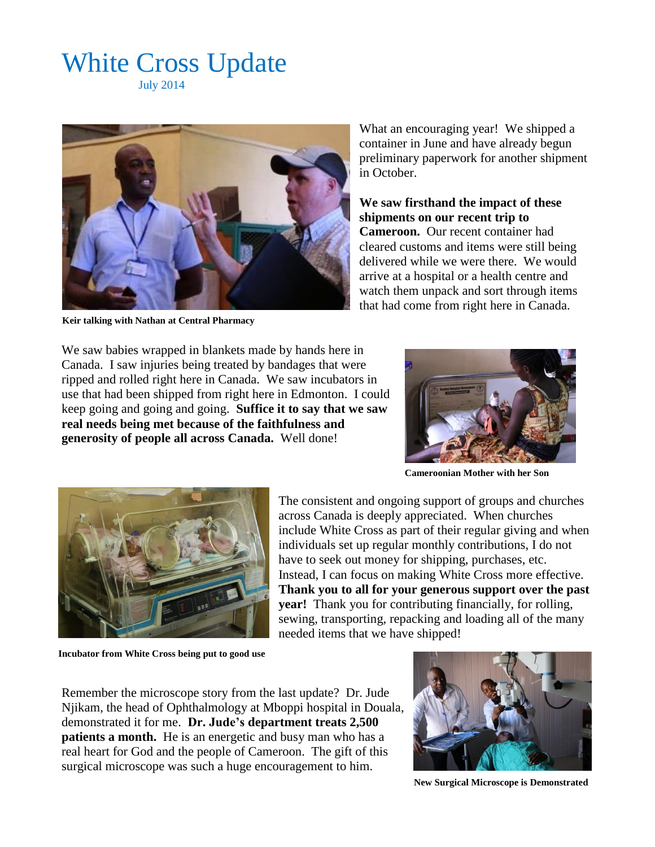## White Cross Update July 2014



What an encouraging year! We shipped a container in June and have already begun preliminary paperwork for another shipment in October.

**We saw firsthand the impact of these shipments on our recent trip to Cameroon.** Our recent container had cleared customs and items were still being delivered while we were there. We would arrive at a hospital or a health centre and watch them unpack and sort through items that had come from right here in Canada.

**Keir talking with Nathan at Central Pharmacy**

We saw babies wrapped in blankets made by hands here in Canada. I saw injuries being treated by bandages that were ripped and rolled right here in Canada. We saw incubators in use that had been shipped from right here in Edmonton. I could keep going and going and going. **Suffice it to say that we saw real needs being met because of the faithfulness and generosity of people all across Canada.** Well done!



**Cameroonian Mother with her Son**



The consistent and ongoing support of groups and churches across Canada is deeply appreciated. When churches include White Cross as part of their regular giving and when individuals set up regular monthly contributions, I do not have to seek out money for shipping, purchases, etc. Instead, I can focus on making White Cross more effective. **Thank you to all for your generous support over the past year!** Thank you for contributing financially, for rolling, sewing, transporting, repacking and loading all of the many needed items that we have shipped!

**Incubator from White Cross being put to good use**

Remember the microscope story from the last update? Dr. Jude Njikam, the head of Ophthalmology at Mboppi hospital in Douala, demonstrated it for me. **Dr. Jude's department treats 2,500 patients a month.** He is an energetic and busy man who has a real heart for God and the people of Cameroon. The gift of this surgical microscope was such a huge encouragement to him.



**New Surgical Microscope is Demonstrated**